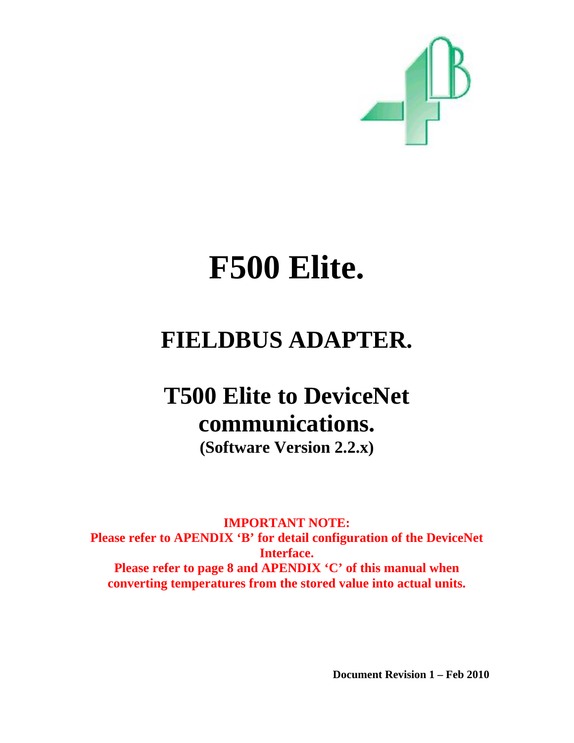

# **F500 Elite.**

# **FIELDBUS ADAPTER.**

# **T500 Elite to DeviceNet communications.**

**(Software Version 2.2.x)** 

**IMPORTANT NOTE: Please refer to APENDIX 'B' for detail configuration of the DeviceNet Interface. Please refer to page 8 and APENDIX 'C' of this manual when converting temperatures from the stored value into actual units.** 

 **Document Revision 1 – Feb 2010**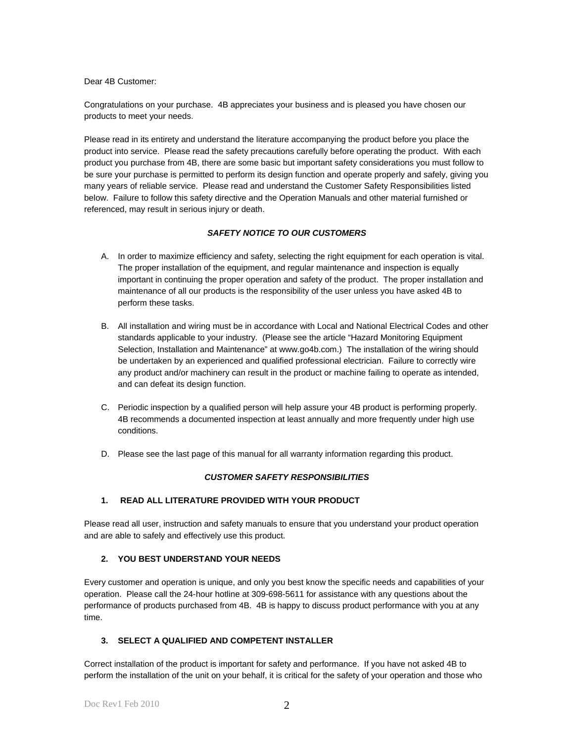Dear 4B Customer:

Congratulations on your purchase. 4B appreciates your business and is pleased you have chosen our products to meet your needs.

Please read in its entirety and understand the literature accompanying the product before you place the product into service. Please read the safety precautions carefully before operating the product. With each product you purchase from 4B, there are some basic but important safety considerations you must follow to be sure your purchase is permitted to perform its design function and operate properly and safely, giving you many years of reliable service. Please read and understand the Customer Safety Responsibilities listed below. Failure to follow this safety directive and the Operation Manuals and other material furnished or referenced, may result in serious injury or death.

#### *SAFETY NOTICE TO OUR CUSTOMERS*

- A. In order to maximize efficiency and safety, selecting the right equipment for each operation is vital. The proper installation of the equipment, and regular maintenance and inspection is equally important in continuing the proper operation and safety of the product. The proper installation and maintenance of all our products is the responsibility of the user unless you have asked 4B to perform these tasks.
- B. All installation and wiring must be in accordance with Local and National Electrical Codes and other standards applicable to your industry. (Please see the article "Hazard Monitoring Equipment Selection, Installation and Maintenance" at www.go4b.com.) The installation of the wiring should be undertaken by an experienced and qualified professional electrician. Failure to correctly wire any product and/or machinery can result in the product or machine failing to operate as intended, and can defeat its design function.
- C. Periodic inspection by a qualified person will help assure your 4B product is performing properly. 4B recommends a documented inspection at least annually and more frequently under high use conditions.
- D. Please see the last page of this manual for all warranty information regarding this product.

#### *CUSTOMER SAFETY RESPONSIBILITIES*

#### **1. READ ALL LITERATURE PROVIDED WITH YOUR PRODUCT**

Please read all user, instruction and safety manuals to ensure that you understand your product operation and are able to safely and effectively use this product.

#### **2. YOU BEST UNDERSTAND YOUR NEEDS**

Every customer and operation is unique, and only you best know the specific needs and capabilities of your operation. Please call the 24-hour hotline at 309-698-5611 for assistance with any questions about the performance of products purchased from 4B. 4B is happy to discuss product performance with you at any time.

#### **3. SELECT A QUALIFIED AND COMPETENT INSTALLER**

Correct installation of the product is important for safety and performance. If you have not asked 4B to perform the installation of the unit on your behalf, it is critical for the safety of your operation and those who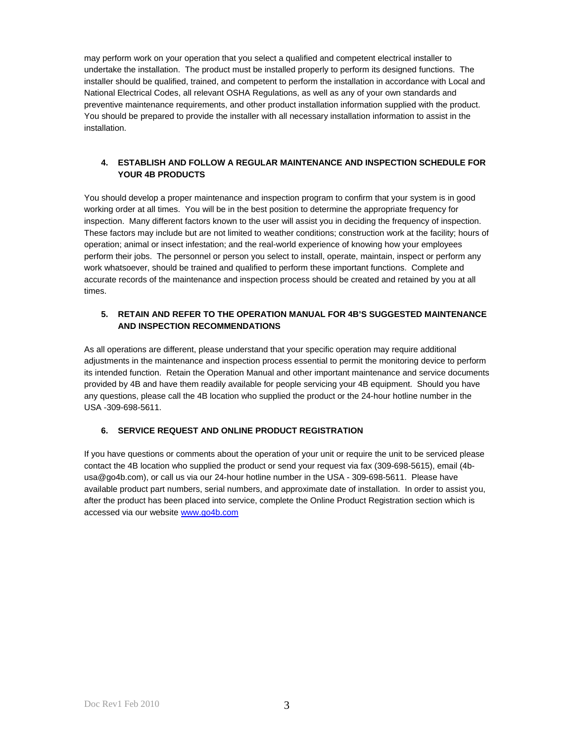may perform work on your operation that you select a qualified and competent electrical installer to undertake the installation. The product must be installed properly to perform its designed functions. The installer should be qualified, trained, and competent to perform the installation in accordance with Local and National Electrical Codes, all relevant OSHA Regulations, as well as any of your own standards and preventive maintenance requirements, and other product installation information supplied with the product. You should be prepared to provide the installer with all necessary installation information to assist in the installation.

#### **4. ESTABLISH AND FOLLOW A REGULAR MAINTENANCE AND INSPECTION SCHEDULE FOR YOUR 4B PRODUCTS**

You should develop a proper maintenance and inspection program to confirm that your system is in good working order at all times. You will be in the best position to determine the appropriate frequency for inspection. Many different factors known to the user will assist you in deciding the frequency of inspection. These factors may include but are not limited to weather conditions; construction work at the facility; hours of operation; animal or insect infestation; and the real-world experience of knowing how your employees perform their jobs. The personnel or person you select to install, operate, maintain, inspect or perform any work whatsoever, should be trained and qualified to perform these important functions. Complete and accurate records of the maintenance and inspection process should be created and retained by you at all times.

#### **5. RETAIN AND REFER TO THE OPERATION MANUAL FOR 4B'S SUGGESTED MAINTENANCE AND INSPECTION RECOMMENDATIONS**

As all operations are different, please understand that your specific operation may require additional adjustments in the maintenance and inspection process essential to permit the monitoring device to perform its intended function. Retain the Operation Manual and other important maintenance and service documents provided by 4B and have them readily available for people servicing your 4B equipment. Should you have any questions, please call the 4B location who supplied the product or the 24-hour hotline number in the USA -309-698-5611.

#### **6. SERVICE REQUEST AND ONLINE PRODUCT REGISTRATION**

If you have questions or comments about the operation of your unit or require the unit to be serviced please contact the 4B location who supplied the product or send your request via fax (309-698-5615), email (4busa@go4b.com), or call us via our 24-hour hotline number in the USA - 309-698-5611. Please have available product part numbers, serial numbers, and approximate date of installation. In order to assist you, after the product has been placed into service, complete the Online Product Registration section which is accessed via our website www.go4b.com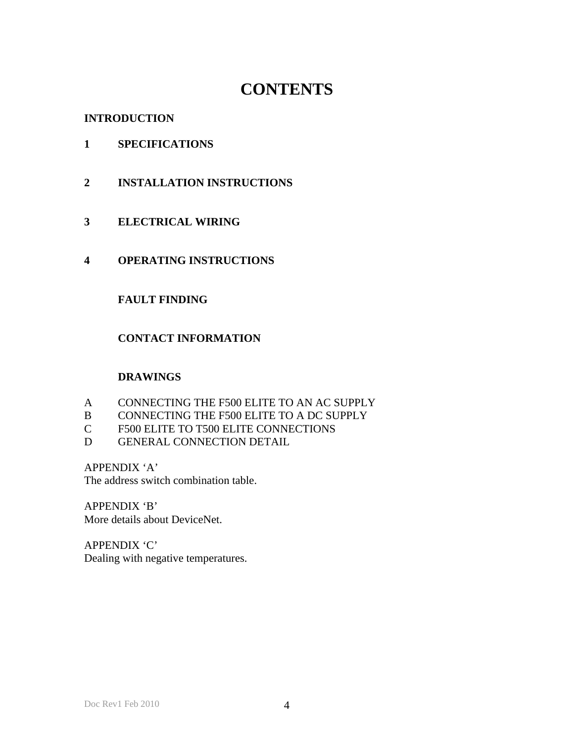# **CONTENTS**

# **INTRODUCTION**

# **1 SPECIFICATIONS**

- **2 INSTALLATION INSTRUCTIONS**
- **3 ELECTRICAL WIRING**
- **4 OPERATING INSTRUCTIONS**

# **FAULT FINDING**

# **CONTACT INFORMATION**

# **DRAWINGS**

- A CONNECTING THE F500 ELITE TO AN AC SUPPLY
- B CONNECTING THE F500 ELITE TO A DC SUPPLY
- C F500 ELITE TO T500 ELITE CONNECTIONS
- D GENERAL CONNECTION DETAIL

APPENDIX 'A'

The address switch combination table.

APPENDIX 'B' More details about DeviceNet.

APPENDIX 'C' Dealing with negative temperatures.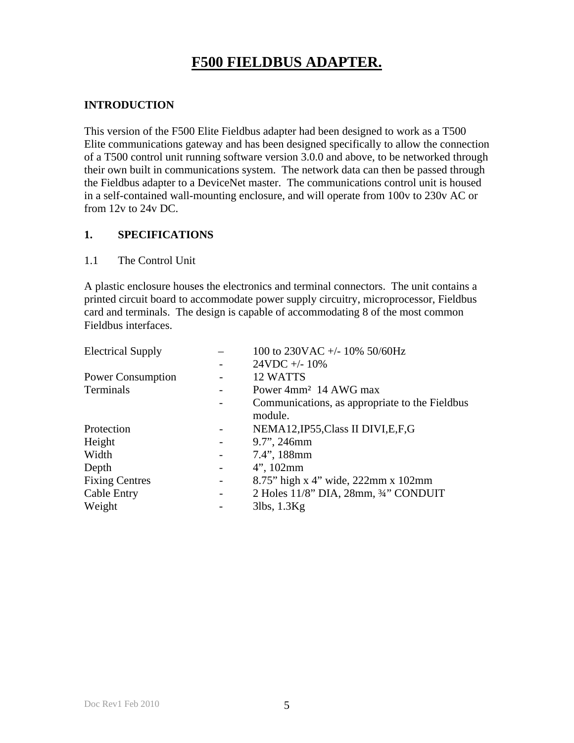# **F500 FIELDBUS ADAPTER.**

# **INTRODUCTION**

This version of the F500 Elite Fieldbus adapter had been designed to work as a T500 Elite communications gateway and has been designed specifically to allow the connection of a T500 control unit running software version 3.0.0 and above, to be networked through their own built in communications system. The network data can then be passed through the Fieldbus adapter to a DeviceNet master. The communications control unit is housed in a self-contained wall-mounting enclosure, and will operate from 100v to 230v AC or from 12v to 24v DC.

# **1. SPECIFICATIONS**

### 1.1 The Control Unit

A plastic enclosure houses the electronics and terminal connectors. The unit contains a printed circuit board to accommodate power supply circuitry, microprocessor, Fieldbus card and terminals. The design is capable of accommodating 8 of the most common Fieldbus interfaces.

| <b>Electrical Supply</b> |                          | 100 to 230VAC +/- 10% 50/60Hz                  |
|--------------------------|--------------------------|------------------------------------------------|
|                          |                          | $24VDC + -10\%$                                |
| <b>Power Consumption</b> |                          | 12 WATTS                                       |
| Terminals                |                          | Power 4mm <sup>2</sup> 14 AWG max              |
|                          |                          | Communications, as appropriate to the Fieldbus |
|                          |                          | module.                                        |
| Protection               | $\overline{\phantom{0}}$ | NEMA12, IP55, Class II DIVI, E, F, G           |
| Height                   | $\overline{a}$           | 9.7", 246mm                                    |
| Width                    | -                        | 7.4", 188mm                                    |
| Depth                    |                          | $4$ ", 102mm                                   |
| <b>Fixing Centres</b>    | $\overline{\phantom{0}}$ | 8.75" high x 4" wide, 222mm x 102mm            |
| <b>Cable Entry</b>       | $\overline{\phantom{0}}$ | 2 Holes 11/8" DIA, 28mm, 3/4" CONDUIT          |
| Weight                   |                          | $3$ lbs, $1.3$ Kg                              |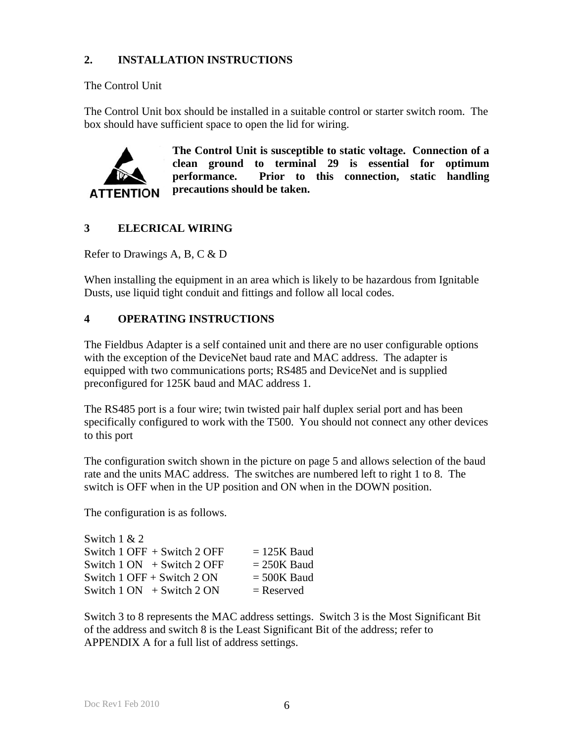# **2. INSTALLATION INSTRUCTIONS**

The Control Unit

The Control Unit box should be installed in a suitable control or starter switch room. The box should have sufficient space to open the lid for wiring.



**The Control Unit is susceptible to static voltage. Connection of a clean ground to terminal 29 is essential for optimum performance. Prior to this connection, static handling precautions should be taken.** 

# **3 ELECRICAL WIRING**

Refer to Drawings A, B, C & D

When installing the equipment in an area which is likely to be hazardous from Ignitable Dusts, use liquid tight conduit and fittings and follow all local codes.

# **4 OPERATING INSTRUCTIONS**

The Fieldbus Adapter is a self contained unit and there are no user configurable options with the exception of the DeviceNet baud rate and MAC address. The adapter is equipped with two communications ports; RS485 and DeviceNet and is supplied preconfigured for 125K baud and MAC address 1.

The RS485 port is a four wire; twin twisted pair half duplex serial port and has been specifically configured to work with the T500. You should not connect any other devices to this port

The configuration switch shown in the picture on page 5 and allows selection of the baud rate and the units MAC address. The switches are numbered left to right 1 to 8. The switch is OFF when in the UP position and ON when in the DOWN position.

The configuration is as follows.

| Switch $1 & 2$                 |               |
|--------------------------------|---------------|
| Switch 1 OFF $+$ Switch 2 OFF  | $= 125K$ Baud |
| Switch $1 ON + Switch 2 OFF$   | $= 250K$ Baud |
| Switch $1$ OFF + Switch $2$ ON | $= 500K$ Baud |
| Switch $1 ON + Switch 2 ON$    | $=$ Reserved  |
|                                |               |

Switch 3 to 8 represents the MAC address settings. Switch 3 is the Most Significant Bit of the address and switch 8 is the Least Significant Bit of the address; refer to APPENDIX A for a full list of address settings.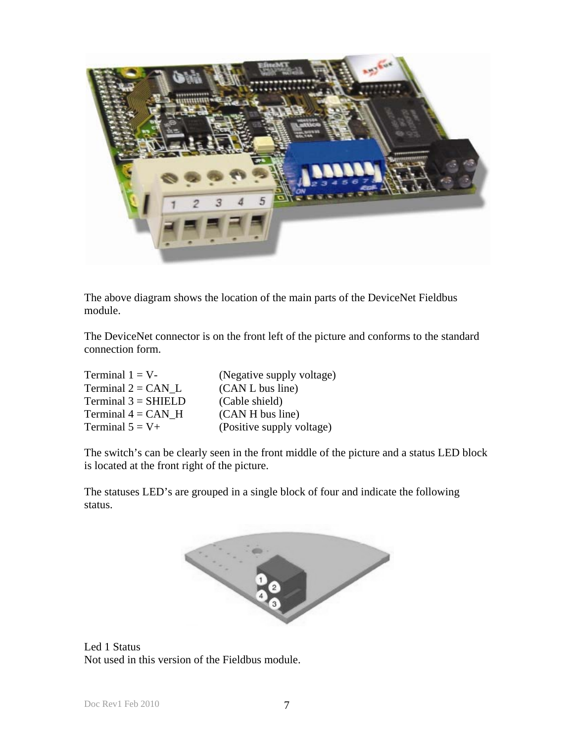

The above diagram shows the location of the main parts of the DeviceNet Fieldbus module.

The DeviceNet connector is on the front left of the picture and conforms to the standard connection form.

| Terminal $1 = V$ -    | (Negative supply voltage) |
|-----------------------|---------------------------|
| Terminal $2 = CAN$ L  | (CAN L bus line)          |
| $Terminal 3 = SHIELD$ | (Cable shield)            |
| Terminal $4 = CAN$ H  | (CAN H bus line)          |
| Terminal $5 = V+$     | (Positive supply voltage) |

The switch's can be clearly seen in the front middle of the picture and a status LED block is located at the front right of the picture.

The statuses LED's are grouped in a single block of four and indicate the following status.



Led 1 Status Not used in this version of the Fieldbus module.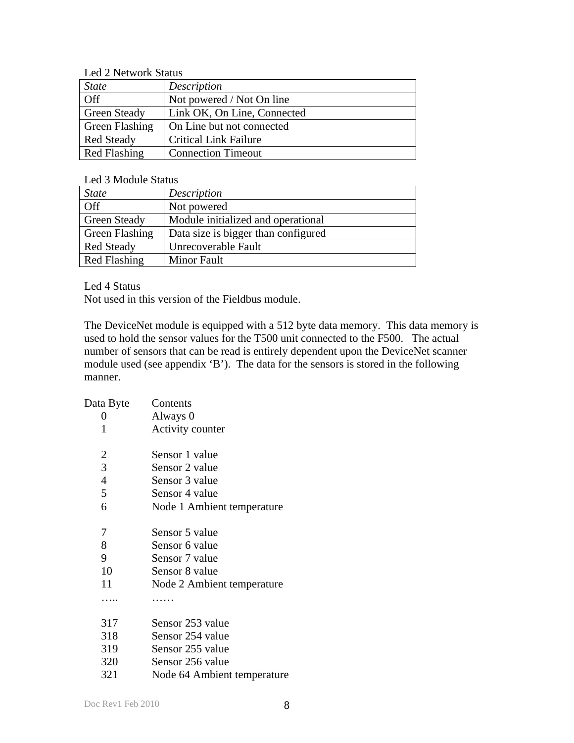Led 2 Network Status

| <b>State</b>          | Description                  |
|-----------------------|------------------------------|
| Off                   | Not powered / Not On line    |
| <b>Green Steady</b>   | Link OK, On Line, Connected  |
| <b>Green Flashing</b> | On Line but not connected    |
| <b>Red Steady</b>     | <b>Critical Link Failure</b> |
| <b>Red Flashing</b>   | <b>Connection Timeout</b>    |

Led 3 Module Status

| <b>State</b>          | Description                         |
|-----------------------|-------------------------------------|
| Off                   | Not powered                         |
| <b>Green Steady</b>   | Module initialized and operational  |
| <b>Green Flashing</b> | Data size is bigger than configured |
| <b>Red Steady</b>     | Unrecoverable Fault                 |
| <b>Red Flashing</b>   | <b>Minor Fault</b>                  |

Led 4 Status

Not used in this version of the Fieldbus module.

The DeviceNet module is equipped with a 512 byte data memory. This data memory is used to hold the sensor values for the T500 unit connected to the F500. The actual number of sensors that can be read is entirely dependent upon the DeviceNet scanner module used (see appendix 'B'). The data for the sensors is stored in the following manner.

| Data Byte      | Contents                    |
|----------------|-----------------------------|
| 0              | Always 0                    |
| 1              | Activity counter            |
| $\overline{2}$ | Sensor 1 value              |
| $\overline{3}$ | Sensor 2 value              |
| $\overline{4}$ | Sensor 3 value              |
| 5              | Sensor 4 value              |
| 6              | Node 1 Ambient temperature  |
| 7              | Sensor 5 value              |
| 8              | Sensor 6 value              |
| 9              | Sensor 7 value              |
| 10             | Sensor 8 value              |
| 11             | Node 2 Ambient temperature  |
|                |                             |
| 317            | Sensor 253 value            |
| 318            | Sensor 254 value            |
| 319            | Sensor 255 value            |
| 320            | Sensor 256 value            |
| 321            | Node 64 Ambient temperature |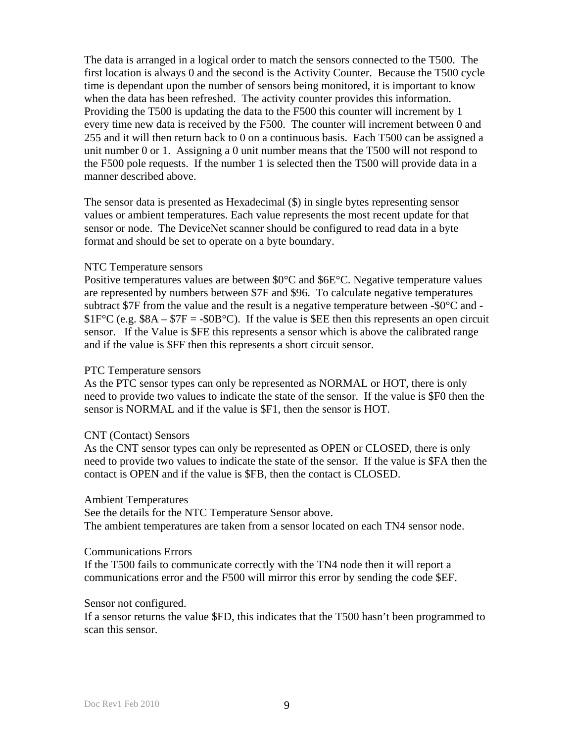The data is arranged in a logical order to match the sensors connected to the T500. The first location is always 0 and the second is the Activity Counter. Because the T500 cycle time is dependant upon the number of sensors being monitored, it is important to know when the data has been refreshed. The activity counter provides this information. Providing the T500 is updating the data to the F500 this counter will increment by 1 every time new data is received by the F500. The counter will increment between 0 and 255 and it will then return back to 0 on a continuous basis. Each T500 can be assigned a unit number 0 or 1. Assigning a 0 unit number means that the T500 will not respond to the F500 pole requests. If the number 1 is selected then the T500 will provide data in a manner described above.

The sensor data is presented as Hexadecimal (\$) in single bytes representing sensor values or ambient temperatures. Each value represents the most recent update for that sensor or node. The DeviceNet scanner should be configured to read data in a byte format and should be set to operate on a byte boundary.

#### NTC Temperature sensors

Positive temperatures values are between \$0°C and \$6E°C. Negative temperature values are represented by numbers between \$7F and \$96. To calculate negative temperatures subtract \$7F from the value and the result is a negative temperature between  $-$ \$0 $\degree$ C and  $-$ \$1F°C (e.g.  $$8A - $7F = -$0B°C$ ). If the value is \$EE then this represents an open circuit sensor. If the Value is \$FE this represents a sensor which is above the calibrated range and if the value is \$FF then this represents a short circuit sensor.

#### PTC Temperature sensors

As the PTC sensor types can only be represented as NORMAL or HOT, there is only need to provide two values to indicate the state of the sensor. If the value is \$F0 then the sensor is NORMAL and if the value is \$F1, then the sensor is HOT.

#### CNT (Contact) Sensors

As the CNT sensor types can only be represented as OPEN or CLOSED, there is only need to provide two values to indicate the state of the sensor. If the value is \$FA then the contact is OPEN and if the value is \$FB, then the contact is CLOSED.

#### Ambient Temperatures

See the details for the NTC Temperature Sensor above. The ambient temperatures are taken from a sensor located on each TN4 sensor node.

#### Communications Errors

If the T500 fails to communicate correctly with the TN4 node then it will report a communications error and the F500 will mirror this error by sending the code \$EF.

#### Sensor not configured.

If a sensor returns the value \$FD, this indicates that the T500 hasn't been programmed to scan this sensor.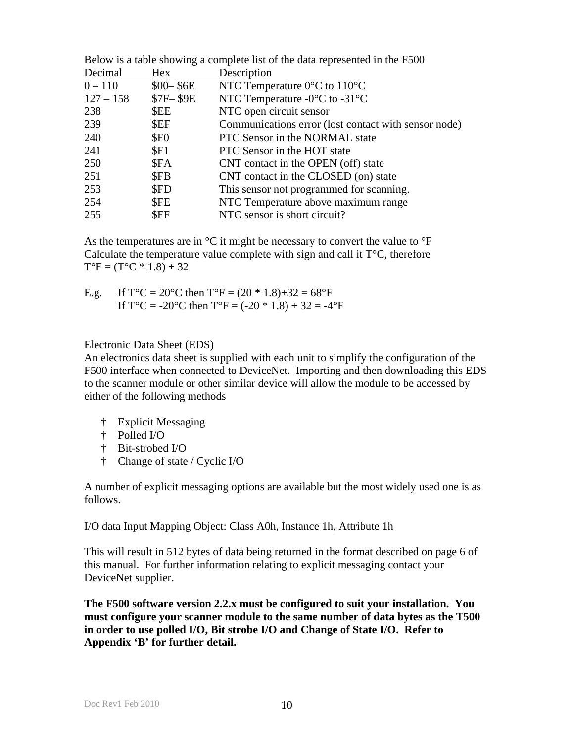| Hex              | Description                                          |
|------------------|------------------------------------------------------|
| $$00 - $6E$$     | NTC Temperature $0^{\circ}$ C to 110 <sup>°</sup> C  |
| \$7F-\$9E        | NTC Temperature $-0$ °C to $-31$ °C                  |
| \$EE             | NTC open circuit sensor                              |
| \$EF             | Communications error (lost contact with sensor node) |
| \$F <sub>0</sub> | PTC Sensor in the NORMAL state                       |
| SF1              | PTC Sensor in the HOT state                          |
| \$FA             | CNT contact in the OPEN (off) state                  |
| <b>SFB</b>       | CNT contact in the CLOSED (on) state                 |
| \$FD             | This sensor not programmed for scanning.             |
| <b>SFE</b>       | NTC Temperature above maximum range                  |
| \$FF             | NTC sensor is short circuit?                         |
|                  |                                                      |

Below is a table showing a complete list of the data represented in the E500

As the temperatures are in  ${}^{\circ}C$  it might be necessary to convert the value to  ${}^{\circ}F$ Calculate the temperature value complete with sign and call it  $T^{\circ}C$ , therefore  $T^{\circ}F = (T^{\circ}C * 1.8) + 32$ 

E.g. If  $T^{\circ}C = 20^{\circ}C$  then  $T^{\circ}F = (20 * 1.8) + 32 = 68^{\circ}F$ If  $T^{\circ}C = -20^{\circ}C$  then  $T^{\circ}F = (-20 * 1.8) + 32 = -4^{\circ}F$ 

### Electronic Data Sheet (EDS)

An electronics data sheet is supplied with each unit to simplify the configuration of the F500 interface when connected to DeviceNet. Importing and then downloading this EDS to the scanner module or other similar device will allow the module to be accessed by either of the following methods

- † Explicit Messaging
- † Polled I/O
- † Bit-strobed I/O
- † Change of state / Cyclic I/O

A number of explicit messaging options are available but the most widely used one is as follows.

I/O data Input Mapping Object: Class A0h, Instance 1h, Attribute 1h

This will result in 512 bytes of data being returned in the format described on page 6 of this manual. For further information relating to explicit messaging contact your DeviceNet supplier.

**The F500 software version 2.2.x must be configured to suit your installation. You must configure your scanner module to the same number of data bytes as the T500 in order to use polled I/O, Bit strobe I/O and Change of State I/O. Refer to Appendix 'B' for further detail.**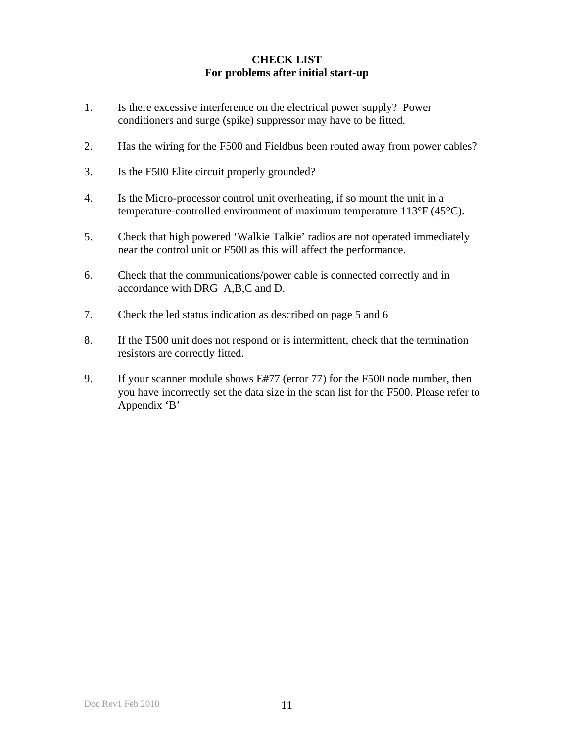# **CHECK LIST For problems after initial start-up**

- 1. Is there excessive interference on the electrical power supply? Power conditioners and surge (spike) suppressor may have to be fitted.
- 2. Has the wiring for the F500 and Fieldbus been routed away from power cables?
- 3. Is the F500 Elite circuit properly grounded?
- 4. Is the Micro-processor control unit overheating, if so mount the unit in a temperature-controlled environment of maximum temperature 113°F (45°C).
- 5. Check that high powered 'Walkie Talkie' radios are not operated immediately near the control unit or F500 as this will affect the performance.
- 6. Check that the communications/power cable is connected correctly and in accordance with DRG A,B,C and D.
- 7. Check the led status indication as described on page 5 and 6
- 8. If the T500 unit does not respond or is intermittent, check that the termination resistors are correctly fitted.
- 9. If your scanner module shows E#77 (error 77) for the F500 node number, then you have incorrectly set the data size in the scan list for the F500. Please refer to Appendix 'B'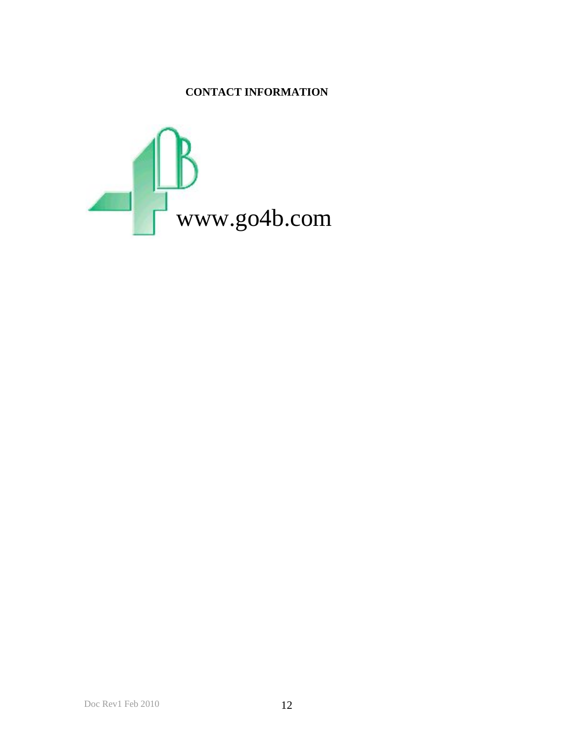# **CONTACT INFORMATION**

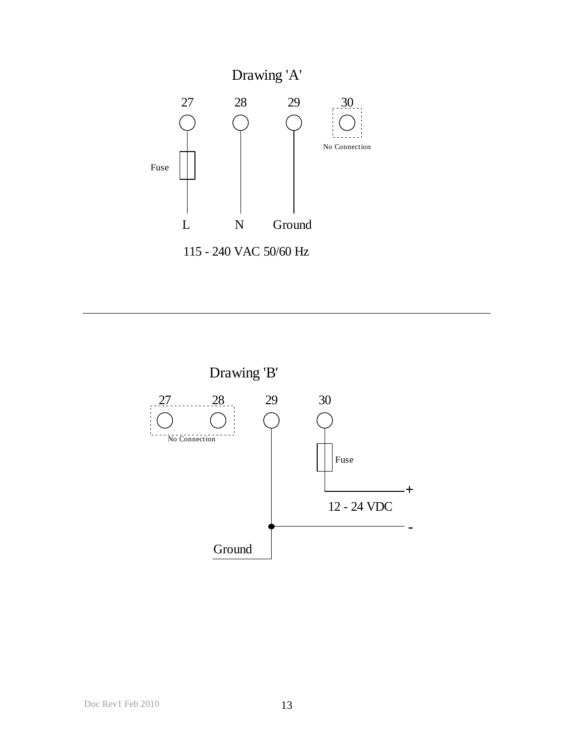

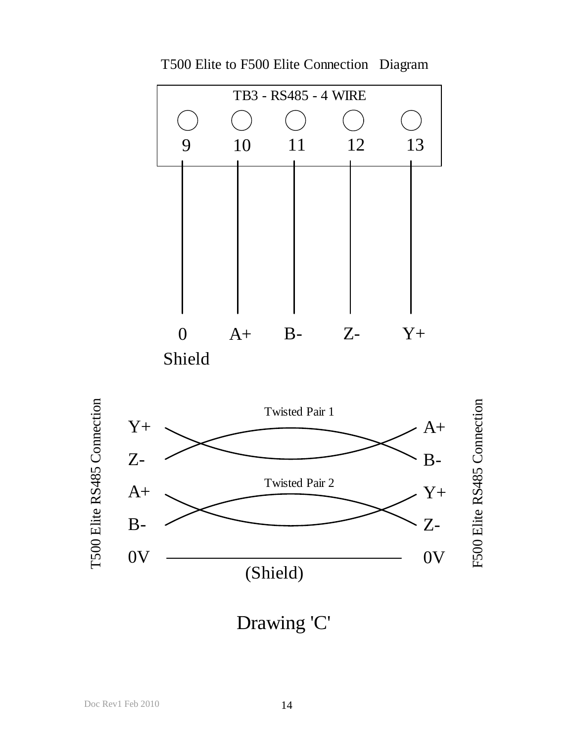

T500 Elite to F500 Elite Connection Diagram



Drawing 'C'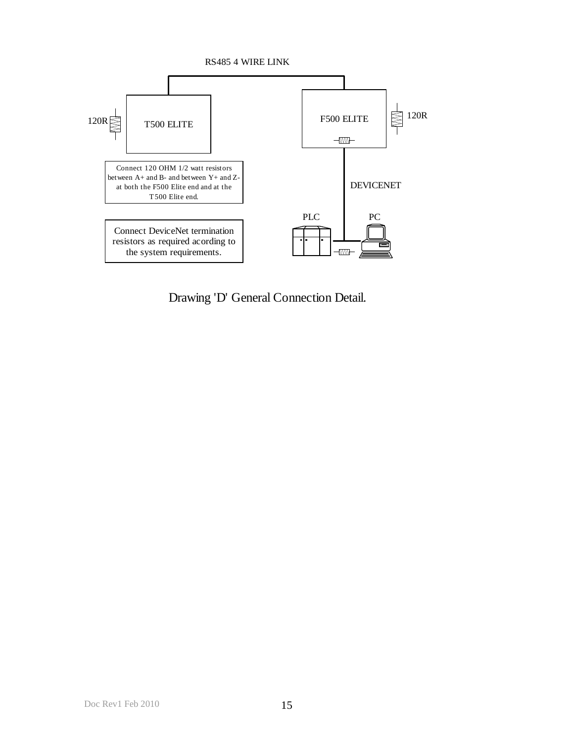

Drawing 'D' General Connection Detail.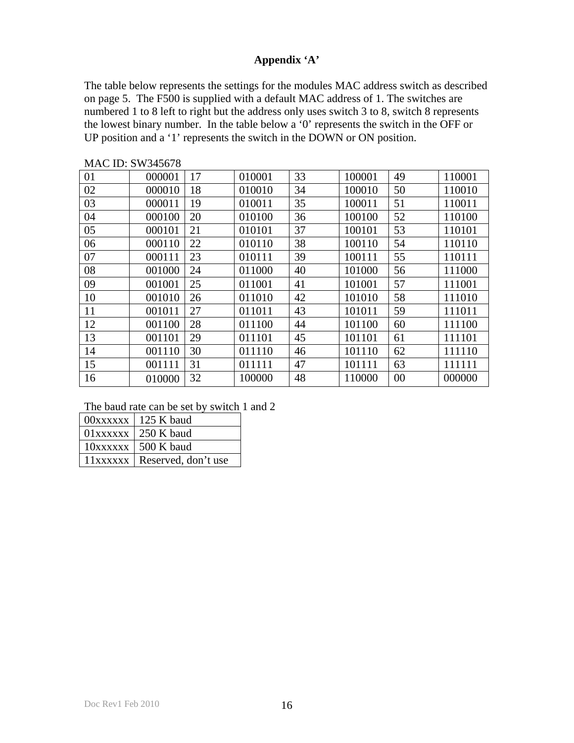# **Appendix 'A'**

The table below represents the settings for the modules MAC address switch as described on page 5. The F500 is supplied with a default MAC address of 1. The switches are numbered 1 to 8 left to right but the address only uses switch 3 to 8, switch 8 represents the lowest binary number. In the table below a '0' represents the switch in the OFF or UP position and a '1' represents the switch in the DOWN or ON position.

| 01 | 000001 | 17 | 010001 | 33 | 100001 | 49 | 110001 |
|----|--------|----|--------|----|--------|----|--------|
| 02 | 000010 | 18 | 010010 | 34 | 100010 | 50 | 110010 |
| 03 | 000011 | 19 | 010011 | 35 | 100011 | 51 | 110011 |
| 04 | 000100 | 20 | 010100 | 36 | 100100 | 52 | 110100 |
| 05 | 000101 | 21 | 010101 | 37 | 100101 | 53 | 110101 |
| 06 | 000110 | 22 | 010110 | 38 | 100110 | 54 | 110110 |
| 07 | 000111 | 23 | 010111 | 39 | 100111 | 55 | 110111 |
| 08 | 001000 | 24 | 011000 | 40 | 101000 | 56 | 111000 |
| 09 | 001001 | 25 | 011001 | 41 | 101001 | 57 | 111001 |
| 10 | 001010 | 26 | 011010 | 42 | 101010 | 58 | 111010 |
| 11 | 001011 | 27 | 011011 | 43 | 101011 | 59 | 111011 |
| 12 | 001100 | 28 | 011100 | 44 | 101100 | 60 | 111100 |
| 13 | 001101 | 29 | 011101 | 45 | 101101 | 61 | 111101 |
| 14 | 001110 | 30 | 011110 | 46 | 101110 | 62 | 111110 |
| 15 | 001111 | 31 | 011111 | 47 | 101111 | 63 | 111111 |
| 16 | 010000 | 32 | 100000 | 48 | 110000 | 00 | 000000 |

MAC ID: SW345678

#### The baud rate can be set by switch 1 and 2

| $00xxxxx + 125$ K baud         |
|--------------------------------|
| $01xxxxx$   250 K baud         |
| $10xxxxx$   500 K baud         |
| 11xxxxxx   Reserved, don't use |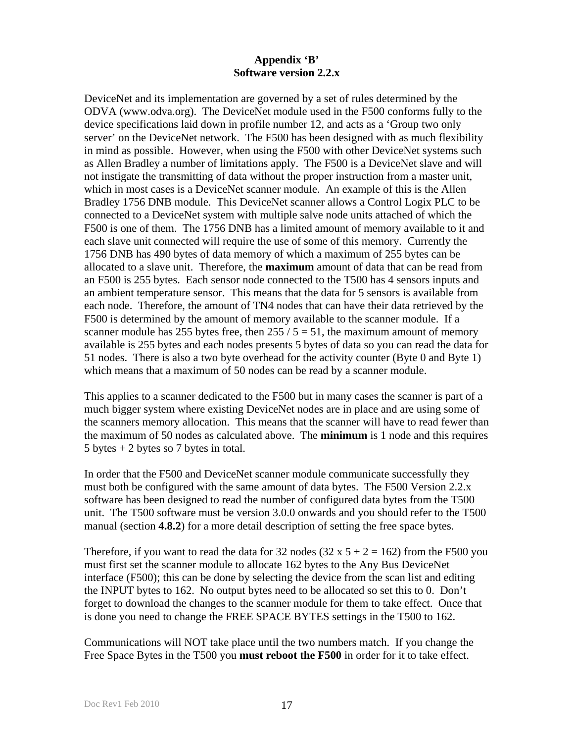# **Appendix 'B' Software version 2.2.x**

DeviceNet and its implementation are governed by a set of rules determined by the ODVA (www.odva.org). The DeviceNet module used in the F500 conforms fully to the device specifications laid down in profile number 12, and acts as a 'Group two only server' on the DeviceNet network. The F500 has been designed with as much flexibility in mind as possible. However, when using the F500 with other DeviceNet systems such as Allen Bradley a number of limitations apply. The F500 is a DeviceNet slave and will not instigate the transmitting of data without the proper instruction from a master unit, which in most cases is a DeviceNet scanner module. An example of this is the Allen Bradley 1756 DNB module. This DeviceNet scanner allows a Control Logix PLC to be connected to a DeviceNet system with multiple salve node units attached of which the F500 is one of them. The 1756 DNB has a limited amount of memory available to it and each slave unit connected will require the use of some of this memory. Currently the 1756 DNB has 490 bytes of data memory of which a maximum of 255 bytes can be allocated to a slave unit. Therefore, the **maximum** amount of data that can be read from an F500 is 255 bytes. Each sensor node connected to the T500 has 4 sensors inputs and an ambient temperature sensor. This means that the data for 5 sensors is available from each node. Therefore, the amount of TN4 nodes that can have their data retrieved by the F500 is determined by the amount of memory available to the scanner module. If a scanner module has 255 bytes free, then  $255 / 5 = 51$ , the maximum amount of memory available is 255 bytes and each nodes presents 5 bytes of data so you can read the data for 51 nodes. There is also a two byte overhead for the activity counter (Byte 0 and Byte 1) which means that a maximum of 50 nodes can be read by a scanner module.

This applies to a scanner dedicated to the F500 but in many cases the scanner is part of a much bigger system where existing DeviceNet nodes are in place and are using some of the scanners memory allocation. This means that the scanner will have to read fewer than the maximum of 50 nodes as calculated above. The **minimum** is 1 node and this requires 5 bytes  $+ 2$  bytes so 7 bytes in total.

In order that the F500 and DeviceNet scanner module communicate successfully they must both be configured with the same amount of data bytes. The F500 Version 2.2.x software has been designed to read the number of configured data bytes from the T500 unit. The T500 software must be version 3.0.0 onwards and you should refer to the T500 manual (section **4.8.2**) for a more detail description of setting the free space bytes.

Therefore, if you want to read the data for 32 nodes (32 x  $5 + 2 = 162$ ) from the F500 you must first set the scanner module to allocate 162 bytes to the Any Bus DeviceNet interface (F500); this can be done by selecting the device from the scan list and editing the INPUT bytes to 162. No output bytes need to be allocated so set this to 0. Don't forget to download the changes to the scanner module for them to take effect. Once that is done you need to change the FREE SPACE BYTES settings in the T500 to 162.

Communications will NOT take place until the two numbers match. If you change the Free Space Bytes in the T500 you **must reboot the F500** in order for it to take effect.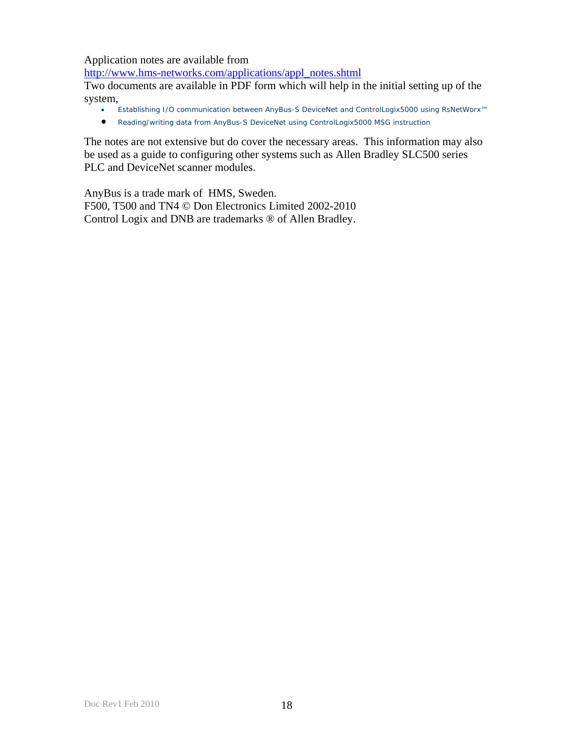Application notes are available from

http://www.hms-networks.com/applications/appl\_notes.shtml

Two documents are available in PDF form which will help in the initial setting up of the system,

- Establishing I/O communication between AnyBus-S DeviceNet and ControlLogix5000 using RsNetWorx™
- Reading/writing data from AnyBus-S DeviceNet using ControlLogix5000 MSG instruction

The notes are not extensive but do cover the necessary areas. This information may also be used as a guide to configuring other systems such as Allen Bradley SLC500 series PLC and DeviceNet scanner modules.

AnyBus is a trade mark of HMS, Sweden. F500, T500 and TN4 © Don Electronics Limited 2002-2010 Control Logix and DNB are trademarks ® of Allen Bradley.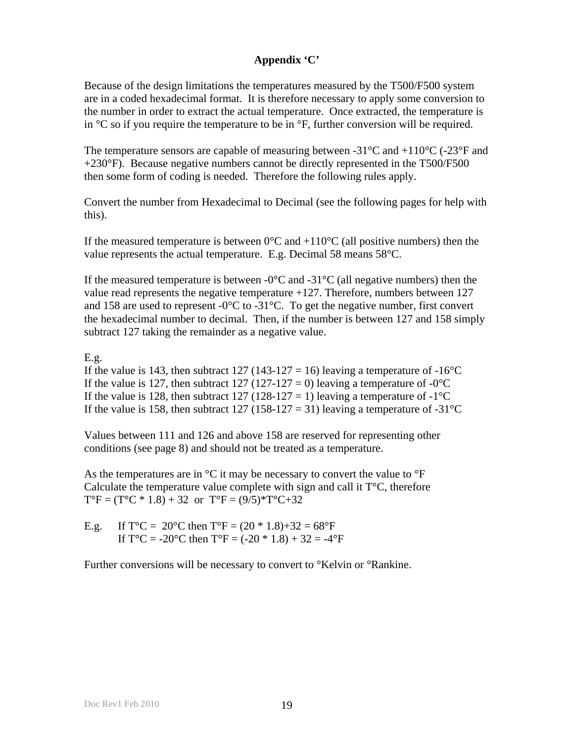# **Appendix 'C'**

Because of the design limitations the temperatures measured by the T500/F500 system are in a coded hexadecimal format. It is therefore necessary to apply some conversion to the number in order to extract the actual temperature. Once extracted, the temperature is in  $\mathrm{C}$  so if you require the temperature to be in  $\mathrm{C}$ . further conversion will be required.

The temperature sensors are capable of measuring between -31 $^{\circ}$ C and +110 $^{\circ}$ C (-23 $^{\circ}$ F and +230°F). Because negative numbers cannot be directly represented in the T500/F500 then some form of coding is needed. Therefore the following rules apply.

Convert the number from Hexadecimal to Decimal (see the following pages for help with this).

If the measured temperature is between  $0^{\circ}$ C and  $+110^{\circ}$ C (all positive numbers) then the value represents the actual temperature. E.g. Decimal 58 means 58°C.

If the measured temperature is between  $-0^{\circ}$ C and  $-31^{\circ}$ C (all negative numbers) then the value read represents the negative temperature +127. Therefore, numbers between 127 and 158 are used to represent  $-0$ °C to  $-31$ °C. To get the negative number, first convert the hexadecimal number to decimal. Then, if the number is between 127 and 158 simply subtract 127 taking the remainder as a negative value.

## E.g.

If the value is 143, then subtract 127 (143-127 = 16) leaving a temperature of -16<sup>o</sup>C If the value is 127, then subtract 127 (127-127 = 0) leaving a temperature of  $-0^{\circ}$ C If the value is 128, then subtract 127 (128-127 = 1) leaving a temperature of -1<sup>o</sup>C If the value is 158, then subtract 127 (158-127 = 31) leaving a temperature of -31<sup>o</sup>C

Values between 111 and 126 and above 158 are reserved for representing other conditions (see page 8) and should not be treated as a temperature.

As the temperatures are in  $\mathrm{C}$  it may be necessary to convert the value to  $\mathrm{C}$  F Calculate the temperature value complete with sign and call it  $T^{\circ}C$ , therefore  $T^{\circ}F = (T^{\circ}C * 1.8) + 32$  or  $T^{\circ}F = (9/5) * T^{\circ}C + 32$ 

E.g. If  $T^{\circ}C = 20^{\circ}C$  then  $T^{\circ}F = (20 * 1.8) + 32 = 68^{\circ}F$ If  $T^{\circ}C = -20^{\circ}C$  then  $T^{\circ}F = (-20 * 1.8) + 32 = -4^{\circ}F$ 

Further conversions will be necessary to convert to °Kelvin or °Rankine.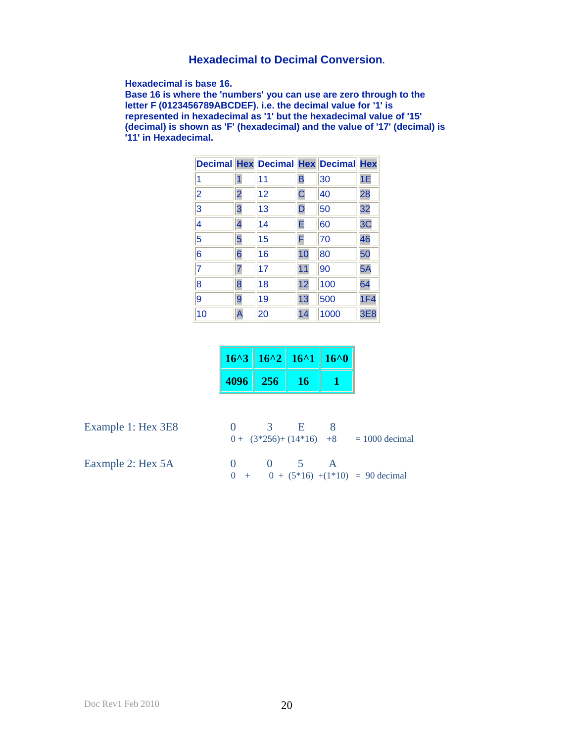# **Hexadecimal to Decimal Conversion.**

**Hexadecimal is base 16.** 

**Base 16 is where the 'numbers' you can use are zero through to the letter F (0123456789ABCDEF). i.e. the decimal value for '1' is represented in hexadecimal as '1' but the hexadecimal value of '15' (decimal) is shown as 'F' (hexadecimal) and the value of '17' (decimal) is '11' in Hexadecimal.**

|                |                | <b>Decimal Hex Decimal Hex Decimal Hex</b> |                |      |     |
|----------------|----------------|--------------------------------------------|----------------|------|-----|
| 1              | 1              | 11                                         | B              | 30   | 1E  |
| $\overline{2}$ | $\overline{2}$ | 12                                         | $\overline{C}$ | 40   | 28  |
| 3              | 3              | 13                                         | D              | 50   | 32  |
| 4              | 4              | 14                                         | E              | 60   | 3C  |
| 5              | 5              | 15                                         | F              | 70   | 46  |
| 6              | 6              | 16                                         | 10             | 80   | 50  |
| $\overline{7}$ | 7              | 17                                         | 11             | 90   | 5A  |
| 8              | 8              | 18                                         | 12             | 100  | 64  |
| 9              | 9              | 19                                         | 13             | 500  | 1F4 |
| 10             | A              | 20                                         | 14             | 1000 | 3E8 |

|      | $16^{2}$   $16^{2}$   $16^{2}$   $16^{2}$ |    |  |
|------|-------------------------------------------|----|--|
| 4096 | - 256                                     | 16 |  |

Example 1: Hex 3E8

| Example 1: Hex 3E8 |              | $\mathcal{R}$ | <b>The Parties</b> |                                           |
|--------------------|--------------|---------------|--------------------|-------------------------------------------|
|                    |              |               |                    | $0 + (3*256) + (14*16) +8 = 1000$ decimal |
| Eaxmple 2: Hex 5A  | $\mathbf{a}$ | $\sqrt{1}$ 5  |                    |                                           |
|                    |              |               |                    | $0 + 0 + (5*16) + (1*10) = 90$ decimal    |